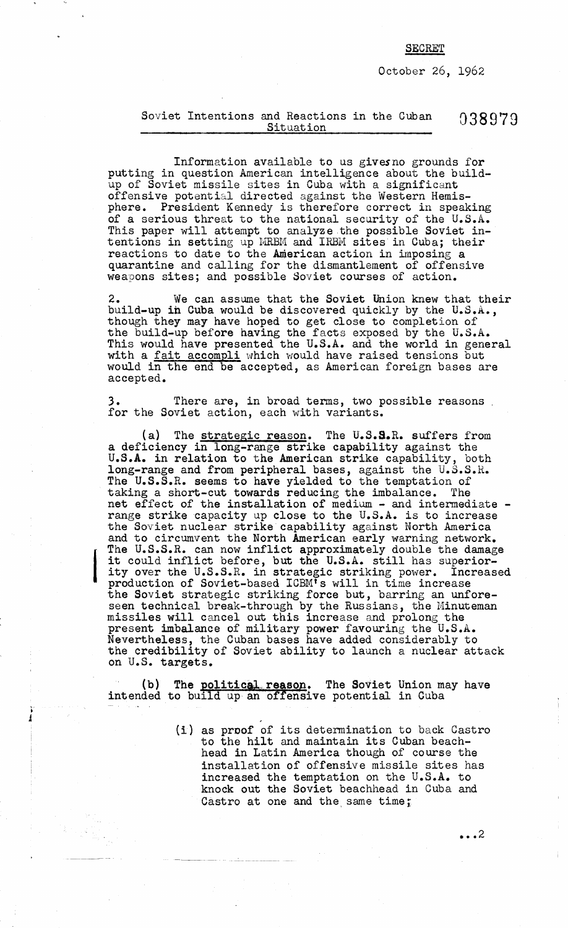## **SECRET**

October 26, 1962

## Soviet Intentions and Reactions in the Cuban 038979<br>Situation Microsoft Cuban 038979

Information available to us givesno grounds for putting in question American intelligence about the buildup of Soviet missile sites in Cuba with a significant offensive potential directed against the Western Hemisphere. President Kennedy is therefore correct in speaking of a serious threat to the national security of the U.S.A. This paper will attempt to analyze the possible Soviet intentions in setting up MRBM and IRBM sites in Cuba; their  ${\tt reactions}$  to date to the  ${\tt American}$  action in imposing  ${\tt a}$ quarantine and calling for the dismantlement of offensive weapons sites; and possible Soviet courses of action.

2. We can assume that the Soviet Union knew that their build-up ih Cuba would be discovered quickly by the U.S.A., though they may have hoped to get close to completion of the build-up before having the facts exposed by the U.S.A. This would have presented the U.S.A. and the world in general with a fait accompli which would have raised tensions but would in the end be accepted, as American foreign bases are accepted.

There are, in broad terms, two possible reasons. for the Soviet action, each with variants.

(a) The strategic reason. The U.S.S.R. suffers from a deficiency in long-range strike capability against the U.S.A. in relation to the American strike capability, both long-range and from peripheral bases, against the U.S.S.R. The U.S.S.R. seems to have yielded to the temptation of taking a short-cut towards reducing the imbalance. The net effect of the installation of medium - and intermediate range strike capacity up close to the U.S.A. is to increase the Soviet nuclear strike capability against North America and to circumvent the North American early warning network. The U.S.S.R. can now inflict approximately double the damage it could inflict before, but the U.S.A. still has superiority over the  $\mathtt{U.S.S.R.}$  in strategic striking power. Increased production of Soviet-based ICBMts will in time increase the Soviet strategic striking force but, barring an unforeseen technical break-through by the Russians, the Minuteman missiles will cancel out this increase and prolong the present imbalance of military power favouring the U.S.A. Nevertheless, the Cuban bases have added considerably to the credibility of Soviet ability to launch a nuclear attack on U.S. targets.

I

(b) The <u>political reason</u>. The Soviet Union may have intended to build up an offensive potential in Cuba

> (1) as proof of its determination to back Castro to the hilt and maintain its Cuban beachhead in Latin America though of course the installation of offensive missile sites has increased the temptation on the U.S.A. to knock out the Soviet beachhead in Cuba and Castro at one and the same time;

> > $\cdots$  2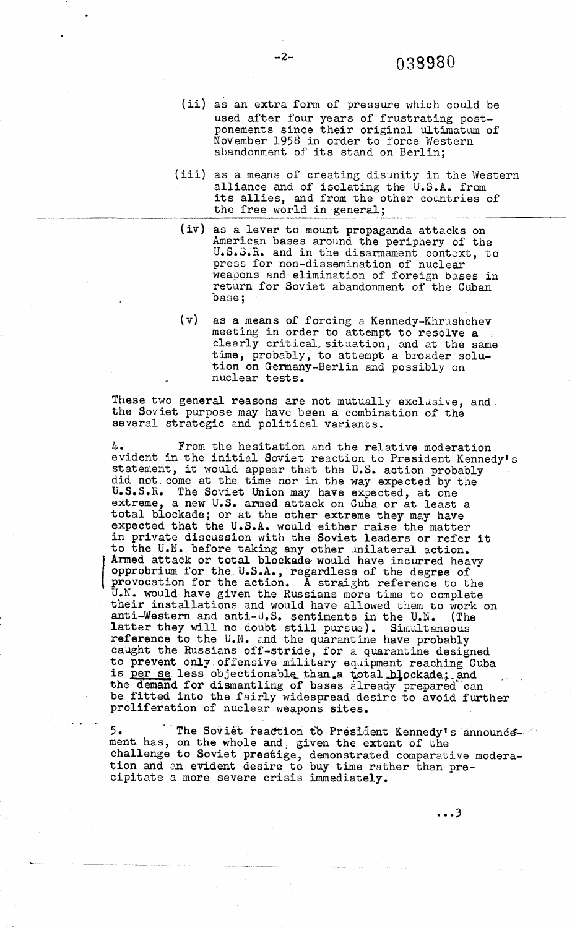- (ii) as an extra form of pressure which could be used after four years of frustrating post ponements since their original ultimatum of November 1958 in order to force Western abandonment of its stand on Berlin;
- (iii) as a means of creating disunity in the Western alliance and of isolating the U.S.A. from its allies, and from the other countries of the free world in general;
- (iv) as a lever to mount propaganda attacks on American bases around the periphery of the U.S.S.R. and in the disarmament context, to press for non-dissemination of nuclear weapons and elimination of foreign bases in return for Soviet abandonment of the Cuban base;
- (v) as a means of forcing a Kennedy-Khrushchev meeting in order to attempt to resolve a clearly critical, situation, and at the same time, probably, to attempt a broader solution on Germany-Berlin and possibly on nuclear tests.

These two general reasons are not mutually exclusive, and. the Soviet purpose may have been a combination of the several strategic and political variants.

 $4.4$ . From the hesitation and the relative moderation evident in the initial Soviet reaction to President Kennedy' statement, it would appear that the U.S. action probably did not. come at the time nor in the way expected by the U.S.S.R. The Soviet Union may have expected, at one extreme, a new U.S. armed attack on Cuba or at least a total blockade; or at the other extreme they may have expected that the U.S.A. would either raise the matter in private discussion with the Soviet leaders or refer it to the U.N. before taking any other unilateral action. provocation for the action. A straight reference to the Armed attack or total blockade' would have incurred heavy opprobrium for the U.S.A., regardless of the degree of U.N. would have given the Russians more time to complete their installations and would have allowed them to work on anti-Western and anti-U.S. sentiments in the U.N. (The latter they will no doubt still pursue). Simultaneous reference to the U.N. and the quarantine have probably aught the Russians off-stride, for a quarantine designed to prevent only. offensive military equipment reaching Cuba is per se less objectionable than.a total blockade; the demand for dismantling of bases already prepared can be fitted into the fairly widespread desire to avoid further proliferation of nuclear weapons sites.

 $5.$  The Soviet reaction to President Kennedy's announcement has, on the whole and; given the extent of the challenge to Soviet prestige, demonstrated comparative moderation and an evident desire to buy time rather than precipitate a more severe crisis immediately.

 $\cdots$ 3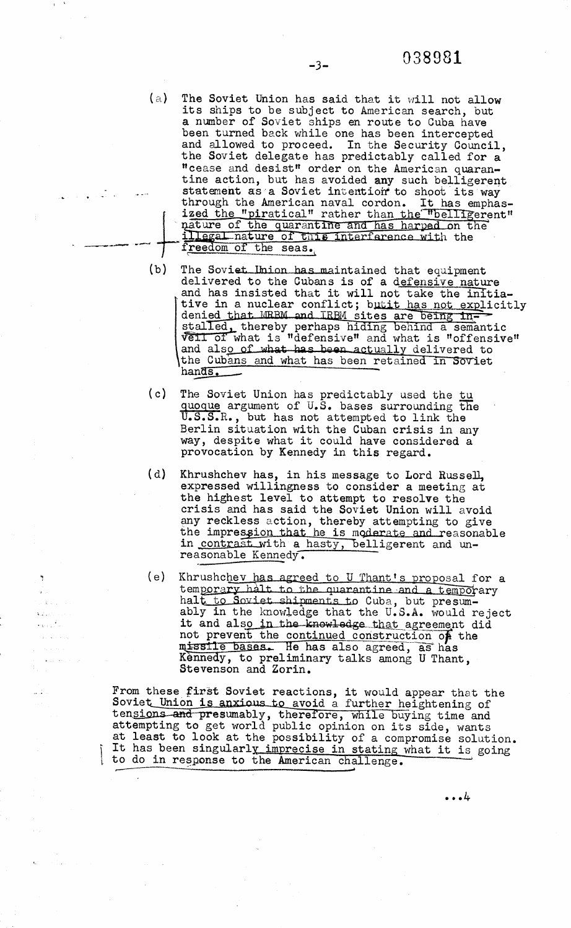(a) The Soviet Union has said that it will not allow its ships to be subject to American search, but a number of Soviet ships en route to Cuba have been turned back while one has been intercepted and allowed to proceed. In the Security Council, the Soviet delegate has predictably called for a "cease and desist" order on the American quarantine action, but has avoided any such belligeren statement as a Soviet intention to shoot its way through the American naval cordon. It has emphas-  $\overline{ }$ ized the "piratical" rather than the "belligerent" mature of the quarantine and has harped on the illegal nature of this interference with the  $\frac{1}{\sqrt{1 + \frac{1}{n}}}$  **reedom of the seas.** 

منتابين

Ņ

- (b) The Soviet Ibion has maintained that equipment delivered to the Cubans is of a defensive nature and has insisted that it will not take the initiative in a nuclear conflict; butit has not explicitl denied that MRBM and TRBM sites are being installed, thereby perhaps hiding behind a semantic veil of what is "defensive" and what is "offensive" and also of what has been actually delivered to the Cubans and what has been retained in Soviet han<del>ds</del>.
- $(c)$ The Soviet Union has predictably used the tu quogue argument of U.S. bases surrounding the U.S.S.R., but has not attempted to link the Berlin situation with the Cuban crisis in any way, despite what it could have considered a provocation by Kennedy in this regard.
- $(d)$ Khrushchev has, in his message to Lord Russell, expressed willingness to consider a meeting at the highest level to attempt to resolve the crisis and has said the Soviet Union will avoid any reckless action, thereby attempting to give the impres<u>sion that he i</u>s moderate and reasonable in contrast with a hasty, belligerent and un $reasonable$  Kennedy.
- $(e)$ Khrushchev has agreed to U Thant's proposal for a temporary halt to the quarantine and a temporary halt to Soviet shipments to Cuba, but presum. ably in the knowledge that the U.S.A. would reject it and also in the knowledge that agreement did not prevent the continued construction  $\overrightarrow{of}$  the missile bases. He has also agreed, as has Kènnedy, to preliminary talks among U Thant, Stevenson and Zorin.

From these first Soviet reactions, it would appear that the Soviet Union is anxious to avoid a further heightening of tensions and presumably, therefore, while buying time and attempting to get world public opinion on its side, wants at least to look at the possibility of a compromise solution.  $\,$  It has been singularl<u>y imprecise in stating what it is going</u> to do in response to the American challenge.

 $\cdots$